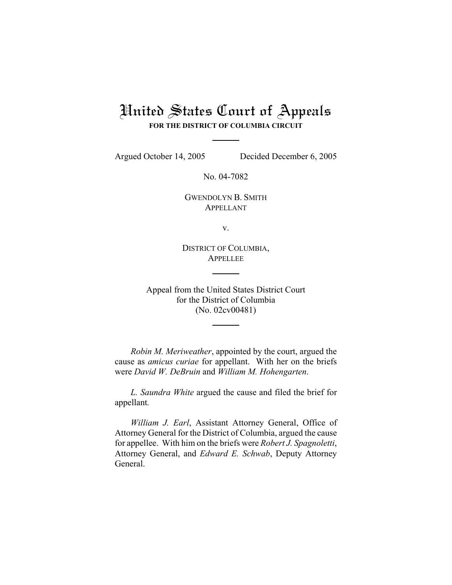## United States Court of Appeals **FOR THE DISTRICT OF COLUMBIA CIRCUIT**

Argued October 14, 2005 Decided December 6, 2005

No. 04-7082

GWENDOLYN B. SMITH APPELLANT

v.

DISTRICT OF COLUMBIA, APPELLEE

Appeal from the United States District Court for the District of Columbia (No. 02cv00481)

*Robin M. Meriweather*, appointed by the court, argued the cause as *amicus curiae* for appellant. With her on the briefs were *David W. DeBruin* and *William M. Hohengarten*.

*L. Saundra White* argued the cause and filed the brief for appellant*.*

*William J. Earl*, Assistant Attorney General, Office of Attorney General for the District of Columbia, argued the cause for appellee. With him on the briefs were *Robert J. Spagnoletti*, Attorney General, and *Edward E. Schwab*, Deputy Attorney General.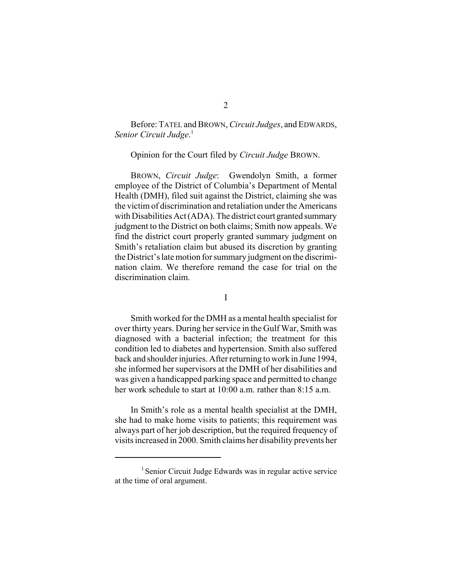Before: TATEL and BROWN, *Circuit Judges*, and EDWARDS, *Senior Circuit Judge*. 1

Opinion for the Court filed by *Circuit Judge* BROWN.

BROWN, *Circuit Judge*: Gwendolyn Smith, a former employee of the District of Columbia's Department of Mental Health (DMH), filed suit against the District, claiming she was the victim of discrimination and retaliation under the Americans with Disabilities Act (ADA). The district court granted summary judgment to the District on both claims; Smith now appeals. We find the district court properly granted summary judgment on Smith's retaliation claim but abused its discretion by granting the District's late motion for summary judgment on the discrimination claim. We therefore remand the case for trial on the discrimination claim.

I

Smith worked for the DMH as a mental health specialist for over thirty years. During her service in the Gulf War, Smith was diagnosed with a bacterial infection; the treatment for this condition led to diabetes and hypertension. Smith also suffered back and shoulder injuries. After returning to work in June 1994, she informed her supervisors at the DMH of her disabilities and was given a handicapped parking space and permitted to change her work schedule to start at 10:00 a.m. rather than 8:15 a.m.

In Smith's role as a mental health specialist at the DMH, she had to make home visits to patients; this requirement was always part of her job description, but the required frequency of visits increased in 2000. Smith claims her disability prevents her

 $<sup>1</sup>$  Senior Circuit Judge Edwards was in regular active service</sup> at the time of oral argument.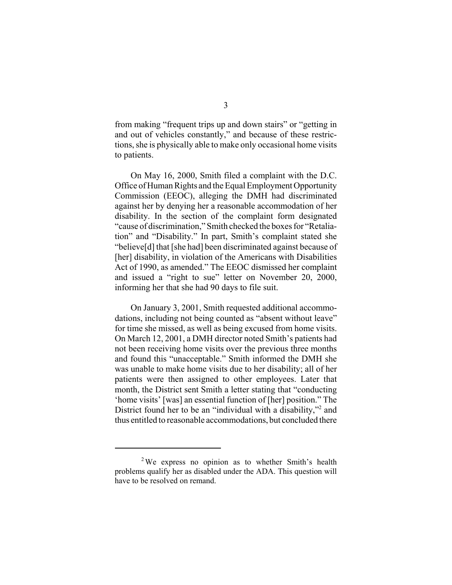from making "frequent trips up and down stairs" or "getting in and out of vehicles constantly," and because of these restrictions, she is physically able to make only occasional home visits to patients.

On May 16, 2000, Smith filed a complaint with the D.C. Office of Human Rights and the Equal Employment Opportunity Commission (EEOC), alleging the DMH had discriminated against her by denying her a reasonable accommodation of her disability. In the section of the complaint form designated "cause of discrimination," Smith checked the boxes for "Retaliation" and "Disability." In part, Smith's complaint stated she "believe[d] that [she had] been discriminated against because of [her] disability, in violation of the Americans with Disabilities Act of 1990, as amended." The EEOC dismissed her complaint and issued a "right to sue" letter on November 20, 2000, informing her that she had 90 days to file suit.

On January 3, 2001, Smith requested additional accommodations, including not being counted as "absent without leave" for time she missed, as well as being excused from home visits. On March 12, 2001, a DMH director noted Smith's patients had not been receiving home visits over the previous three months and found this "unacceptable." Smith informed the DMH she was unable to make home visits due to her disability; all of her patients were then assigned to other employees. Later that month, the District sent Smith a letter stating that "conducting 'home visits' [was] an essential function of [her] position." The District found her to be an "individual with a disability,"<sup>2</sup> and thus entitled to reasonable accommodations, but concluded there

<sup>&</sup>lt;sup>2</sup>We express no opinion as to whether Smith's health problems qualify her as disabled under the ADA. This question will have to be resolved on remand.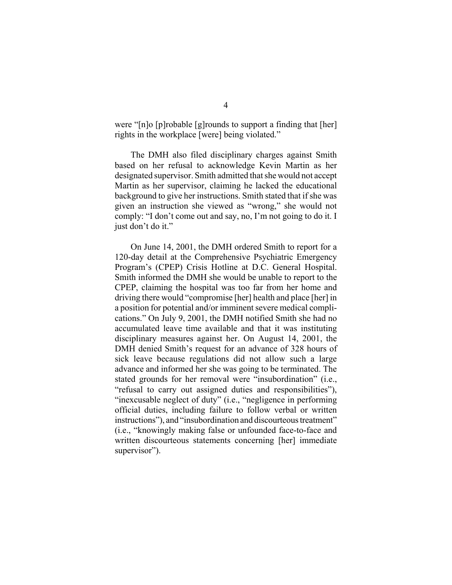were "[n]o [p]robable [g]rounds to support a finding that [her] rights in the workplace [were] being violated."

The DMH also filed disciplinary charges against Smith based on her refusal to acknowledge Kevin Martin as her designated supervisor. Smith admitted that she would not accept Martin as her supervisor, claiming he lacked the educational background to give her instructions. Smith stated that if she was given an instruction she viewed as "wrong," she would not comply: "I don't come out and say, no, I'm not going to do it. I just don't do it."

On June 14, 2001, the DMH ordered Smith to report for a 120-day detail at the Comprehensive Psychiatric Emergency Program's (CPEP) Crisis Hotline at D.C. General Hospital. Smith informed the DMH she would be unable to report to the CPEP, claiming the hospital was too far from her home and driving there would "compromise [her] health and place [her] in a position for potential and/or imminent severe medical complications." On July 9, 2001, the DMH notified Smith she had no accumulated leave time available and that it was instituting disciplinary measures against her. On August 14, 2001, the DMH denied Smith's request for an advance of 328 hours of sick leave because regulations did not allow such a large advance and informed her she was going to be terminated. The stated grounds for her removal were "insubordination" (i.e., "refusal to carry out assigned duties and responsibilities"), "inexcusable neglect of duty" (i.e., "negligence in performing official duties, including failure to follow verbal or written instructions"), and "insubordination and discourteous treatment" (i.e., "knowingly making false or unfounded face-to-face and written discourteous statements concerning [her] immediate supervisor").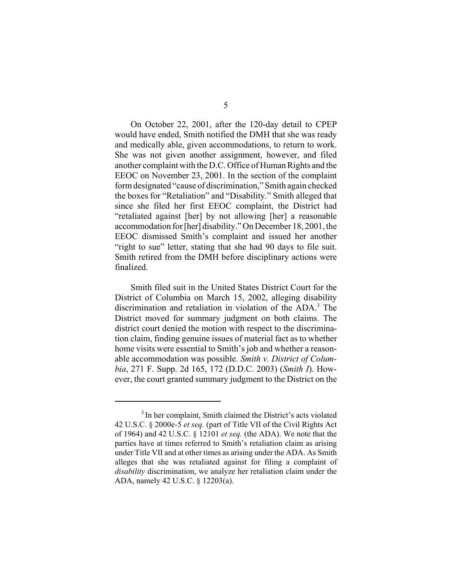On October 22, 2001, after the 120-day detail to CPEP would have ended, Smith notified the DMH that she was ready and medically able, given accommodations, to return to work. She was not given another assignment, however, and filed another complaint with the D.C. Office of Human Rights and the EEOC on November 23, 2001. In the section of the complaint form designated "cause of discrimination," Smith again checked the boxes for "Retaliation" and "Disability." Smith alleged that since she filed her first EEOC complaint, the District had "retaliated against [her] by not allowing [her] a reasonable accommodation for [her] disability." On December 18, 2001, the EEOC dismissed Smith's complaint and issued her another "right to sue" letter, stating that she had 90 days to file suit. Smith retired from the DMH before disciplinary actions were finalized.

Smith filed suit in the United States District Court for the District of Columbia on March 15, 2002, alleging disability discrimination and retaliation in violation of the ADA.<sup>3</sup> The District moved for summary judgment on both claims. The district court denied the motion with respect to the discrimination claim, finding genuine issues of material fact as to whether home visits were essential to Smith's job and whether a reasonable accommodation was possible. *Smith v. District of Columbia*, 271 F. Supp. 2d 165, 172 (D.D.C. 2003) (*Smith I*). However, the court granted summary judgment to the District on the

<sup>&</sup>lt;sup>3</sup> In her complaint, Smith claimed the District's acts violated 42 U.S.C. § 2000e-5 *et seq.* (part of Title VII of the Civil Rights Act of 1964) and 42 U.S.C. § 12101 *et seq.* (the ADA). We note that the parties have at times referred to Smith's retaliation claim as arising under Title VII and at other times as arising under the ADA. As Smith alleges that she was retaliated against for filing a complaint of *disability* discrimination, we analyze her retaliation claim under the ADA, namely 42 U.S.C. § 12203(a).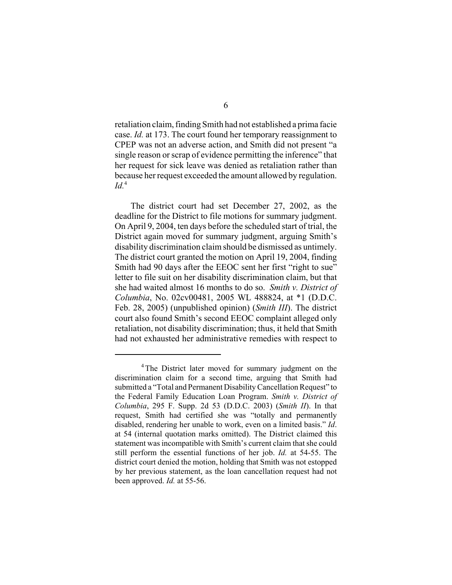retaliation claim, finding Smith had not established a prima facie case. *Id.* at 173. The court found her temporary reassignment to CPEP was not an adverse action, and Smith did not present "a single reason or scrap of evidence permitting the inference" that her request for sick leave was denied as retaliation rather than because her request exceeded the amount allowed by regulation.  $Id<sup>4</sup>$ 

The district court had set December 27, 2002, as the deadline for the District to file motions for summary judgment. On April 9, 2004, ten days before the scheduled start of trial, the District again moved for summary judgment, arguing Smith's disability discrimination claim should be dismissed as untimely. The district court granted the motion on April 19, 2004, finding Smith had 90 days after the EEOC sent her first "right to sue" letter to file suit on her disability discrimination claim, but that she had waited almost 16 months to do so. *Smith v. District of Columbia*, No. 02cv00481, 2005 WL 488824, at \*1 (D.D.C. Feb. 28, 2005) (unpublished opinion) (*Smith III*). The district court also found Smith's second EEOC complaint alleged only retaliation, not disability discrimination; thus, it held that Smith had not exhausted her administrative remedies with respect to

<sup>&</sup>lt;sup>4</sup>The District later moved for summary judgment on the discrimination claim for a second time, arguing that Smith had submitted a "Total and Permanent Disability Cancellation Request" to the Federal Family Education Loan Program. *Smith v. District of Columbia*, 295 F. Supp. 2d 53 (D.D.C. 2003) (*Smith II*). In that request, Smith had certified she was "totally and permanently disabled, rendering her unable to work, even on a limited basis." *Id*. at 54 (internal quotation marks omitted). The District claimed this statement was incompatible with Smith's current claim that she could still perform the essential functions of her job. *Id.* at 54-55. The district court denied the motion, holding that Smith was not estopped by her previous statement, as the loan cancellation request had not been approved. *Id.* at 55-56.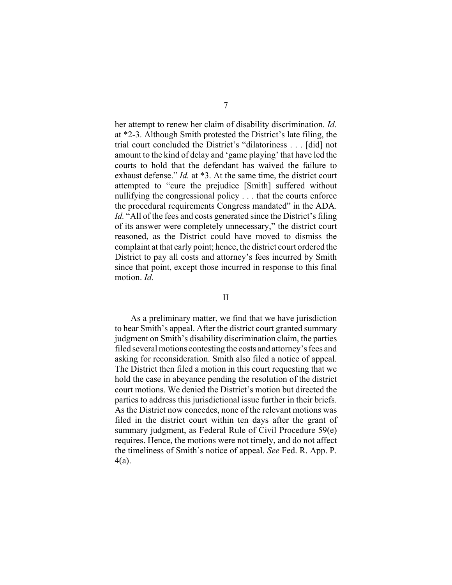her attempt to renew her claim of disability discrimination. *Id.* at \*2-3. Although Smith protested the District's late filing, the trial court concluded the District's "dilatoriness . . . [did] not amount to the kind of delay and 'game playing' that have led the courts to hold that the defendant has waived the failure to exhaust defense." *Id.* at \*3. At the same time, the district court attempted to "cure the prejudice [Smith] suffered without nullifying the congressional policy . . . that the courts enforce the procedural requirements Congress mandated" in the ADA. Id. "All of the fees and costs generated since the District's filing of its answer were completely unnecessary," the district court reasoned, as the District could have moved to dismiss the complaint at that early point; hence, the district court ordered the District to pay all costs and attorney's fees incurred by Smith since that point, except those incurred in response to this final motion. *Id.*

## II

As a preliminary matter, we find that we have jurisdiction to hear Smith's appeal. After the district court granted summary judgment on Smith's disability discrimination claim, the parties filed several motions contesting the costs and attorney's fees and asking for reconsideration. Smith also filed a notice of appeal. The District then filed a motion in this court requesting that we hold the case in abeyance pending the resolution of the district court motions. We denied the District's motion but directed the parties to address this jurisdictional issue further in their briefs. As the District now concedes, none of the relevant motions was filed in the district court within ten days after the grant of summary judgment, as Federal Rule of Civil Procedure 59(e) requires. Hence, the motions were not timely, and do not affect the timeliness of Smith's notice of appeal. *See* Fed. R. App. P. 4(a).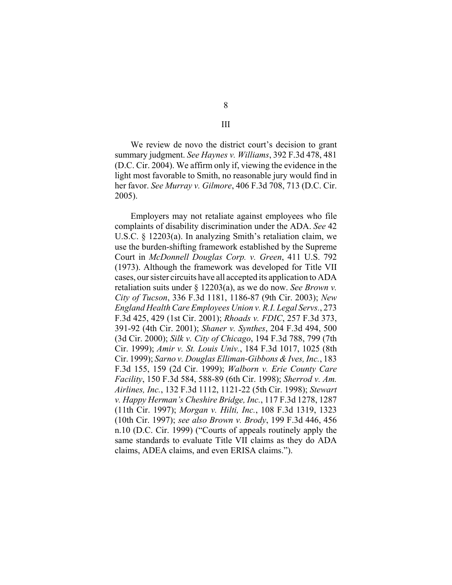We review de novo the district court's decision to grant summary judgment. *See Haynes v. Williams*, 392 F.3d 478, 481 (D.C. Cir. 2004). We affirm only if, viewing the evidence in the light most favorable to Smith, no reasonable jury would find in her favor. *See Murray v. Gilmore*, 406 F.3d 708, 713 (D.C. Cir. 2005).

Employers may not retaliate against employees who file complaints of disability discrimination under the ADA. *See* 42 U.S.C. § 12203(a). In analyzing Smith's retaliation claim, we use the burden-shifting framework established by the Supreme Court in *McDonnell Douglas Corp. v. Green*, 411 U.S. 792 (1973). Although the framework was developed for Title VII cases, our sister circuits have all accepted its application to ADA retaliation suits under § 12203(a), as we do now. *See Brown v. City of Tucson*, 336 F.3d 1181, 1186-87 (9th Cir. 2003); *New England Health Care Employees Union v. R.I. Legal Servs.*, 273 F.3d 425, 429 (1st Cir. 2001); *Rhoads v. FDIC*, 257 F.3d 373, 391-92 (4th Cir. 2001); *Shaner v. Synthes*, 204 F.3d 494, 500 (3d Cir. 2000); *Silk v. City of Chicago*, 194 F.3d 788, 799 (7th Cir. 1999); *Amir v. St. Louis Univ.*, 184 F.3d 1017, 1025 (8th Cir. 1999); *Sarno v. Douglas Elliman-Gibbons & Ives, Inc.*, 183 F.3d 155, 159 (2d Cir. 1999); *Walborn v. Erie County Care Facility*, 150 F.3d 584, 588-89 (6th Cir. 1998); *Sherrod v. Am. Airlines, Inc.*, 132 F.3d 1112, 1121-22 (5th Cir. 1998); *Stewart v. Happy Herman's Cheshire Bridge, Inc.*, 117 F.3d 1278, 1287 (11th Cir. 1997); *Morgan v. Hilti, Inc.*, 108 F.3d 1319, 1323 (10th Cir. 1997); *see also Brown v. Brody*, 199 F.3d 446, 456 n.10 (D.C. Cir. 1999) ("Courts of appeals routinely apply the same standards to evaluate Title VII claims as they do ADA claims, ADEA claims, and even ERISA claims.").

III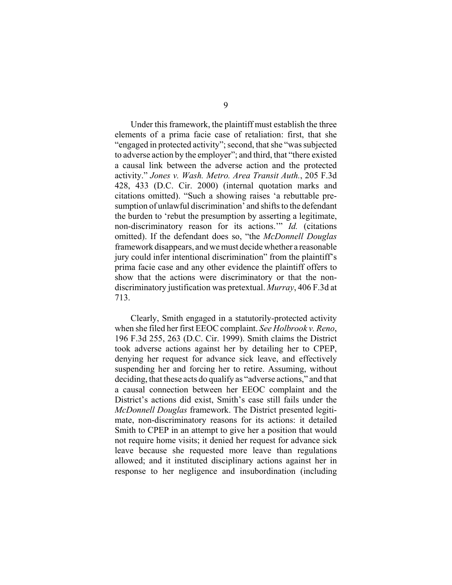Under this framework, the plaintiff must establish the three elements of a prima facie case of retaliation: first, that she "engaged in protected activity"; second, that she "was subjected to adverse action by the employer"; and third, that "there existed a causal link between the adverse action and the protected activity." *Jones v. Wash. Metro. Area Transit Auth.*, 205 F.3d 428, 433 (D.C. Cir. 2000) (internal quotation marks and citations omitted). "Such a showing raises 'a rebuttable presumption of unlawful discrimination' and shifts to the defendant the burden to 'rebut the presumption by asserting a legitimate, non-discriminatory reason for its actions.'" *Id.* (citations omitted). If the defendant does so, "the *McDonnell Douglas* framework disappears, and we must decide whether a reasonable jury could infer intentional discrimination" from the plaintiff's prima facie case and any other evidence the plaintiff offers to show that the actions were discriminatory or that the nondiscriminatory justification was pretextual. *Murray*, 406 F.3d at 713.

Clearly, Smith engaged in a statutorily-protected activity when she filed her first EEOC complaint. *See Holbrook v. Reno*, 196 F.3d 255, 263 (D.C. Cir. 1999). Smith claims the District took adverse actions against her by detailing her to CPEP, denying her request for advance sick leave, and effectively suspending her and forcing her to retire. Assuming, without deciding, that these acts do qualify as "adverse actions," and that a causal connection between her EEOC complaint and the District's actions did exist, Smith's case still fails under the *McDonnell Douglas* framework. The District presented legitimate, non-discriminatory reasons for its actions: it detailed Smith to CPEP in an attempt to give her a position that would not require home visits; it denied her request for advance sick leave because she requested more leave than regulations allowed; and it instituted disciplinary actions against her in response to her negligence and insubordination (including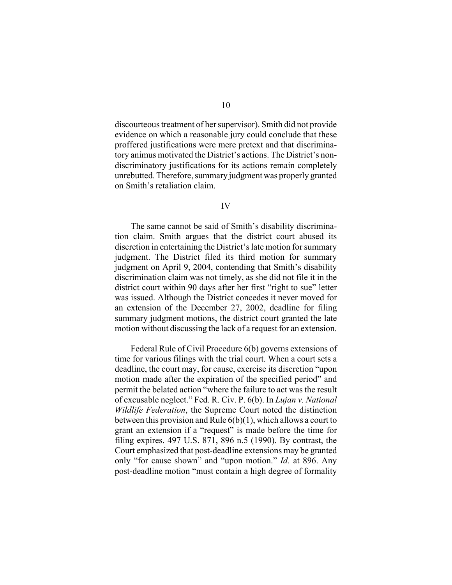discourteous treatment of her supervisor). Smith did not provide evidence on which a reasonable jury could conclude that these proffered justifications were mere pretext and that discriminatory animus motivated the District's actions. The District's nondiscriminatory justifications for its actions remain completely unrebutted. Therefore, summary judgment was properly granted on Smith's retaliation claim.

## IV

The same cannot be said of Smith's disability discrimination claim. Smith argues that the district court abused its discretion in entertaining the District's late motion for summary judgment. The District filed its third motion for summary judgment on April 9, 2004, contending that Smith's disability discrimination claim was not timely, as she did not file it in the district court within 90 days after her first "right to sue" letter was issued. Although the District concedes it never moved for an extension of the December 27, 2002, deadline for filing summary judgment motions, the district court granted the late motion without discussing the lack of a request for an extension.

Federal Rule of Civil Procedure 6(b) governs extensions of time for various filings with the trial court. When a court sets a deadline, the court may, for cause, exercise its discretion "upon motion made after the expiration of the specified period" and permit the belated action "where the failure to act was the result of excusable neglect." Fed. R. Civ. P. 6(b). In *Lujan v. National Wildlife Federation*, the Supreme Court noted the distinction between this provision and Rule 6(b)(1), which allows a court to grant an extension if a "request" is made before the time for filing expires. 497 U.S. 871, 896 n.5 (1990). By contrast, the Court emphasized that post-deadline extensions may be granted only "for cause shown" and "upon motion." *Id.* at 896. Any post-deadline motion "must contain a high degree of formality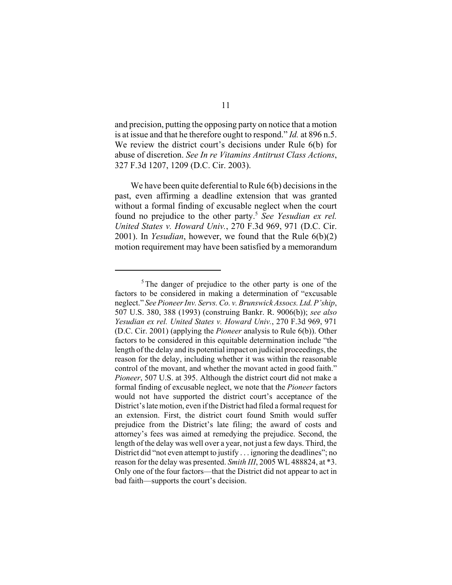and precision, putting the opposing party on notice that a motion is at issue and that he therefore ought to respond." *Id.* at 896 n.5. We review the district court's decisions under Rule 6(b) for abuse of discretion. *See In re Vitamins Antitrust Class Actions*, 327 F.3d 1207, 1209 (D.C. Cir. 2003).

We have been quite deferential to Rule 6(b) decisions in the past, even affirming a deadline extension that was granted without a formal finding of excusable neglect when the court found no prejudice to the other party.<sup>5</sup> *See Yesudian ex rel. United States v. Howard Univ.*, 270 F.3d 969, 971 (D.C. Cir. 2001). In *Yesudian*, however, we found that the Rule 6(b)(2) motion requirement may have been satisfied by a memorandum

 $5$ The danger of prejudice to the other party is one of the factors to be considered in making a determination of "excusable neglect." *SeePioneer Inv. Servs. Co. v. Brunswick Assocs. Ltd. P'ship*, 507 U.S. 380, 388 (1993) (construing Bankr. R. 9006(b)); *see also Yesudian ex rel. United States v. Howard Univ.*, 270 F.3d 969, 971 (D.C. Cir. 2001) (applying the *Pioneer* analysis to Rule 6(b)). Other factors to be considered in this equitable determination include "the length of the delay and its potential impact on judicial proceedings, the reason for the delay, including whether it was within the reasonable control of the movant, and whether the movant acted in good faith." *Pioneer*, 507 U.S. at 395. Although the district court did not make a formal finding of excusable neglect, we note that the *Pioneer* factors would not have supported the district court's acceptance of the District's late motion, even if the District had filed a formal request for an extension. First, the district court found Smith would suffer prejudice from the District's late filing; the award of costs and attorney's fees was aimed at remedying the prejudice. Second, the length of the delay was well over a year, not just a few days. Third, the District did "not even attempt to justify . . . ignoring the deadlines"; no reason for the delay was presented. *Smith III*, 2005 WL 488824, at \*3. Only one of the four factors—that the District did not appear to act in bad faith—supports the court's decision.